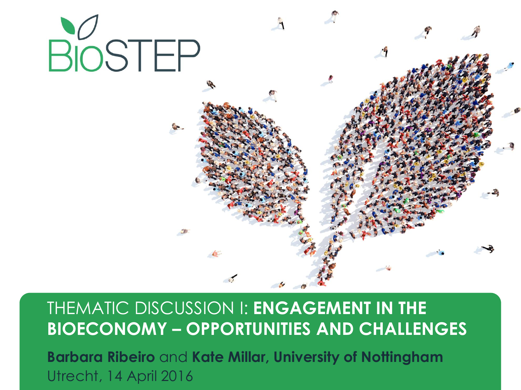

#### THEMATIC DISCUSSION I: **ENGAGEMENT IN THE BIOECONOMY – OPPORTUNITIES AND CHALLENGES**

**Barbara Ribeiro** and **Kate Millar, University of Nottingham** Utrecht, 14 April 2016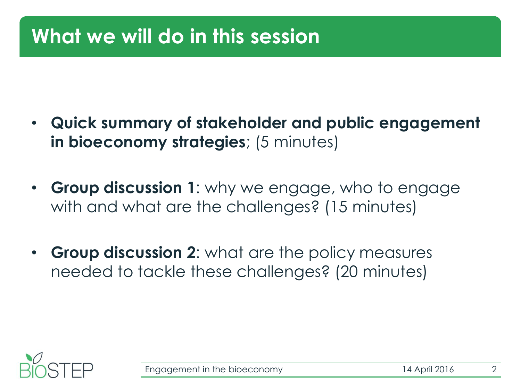## **What we will do in this session**

- **Quick summary of stakeholder and public engagement in bioeconomy strategies**; (5 minutes)
- **Group discussion 1**: why we engage, who to engage with and what are the challenges? (15 minutes)
- **Group discussion 2**: what are the policy measures needed to tackle these challenges? (20 minutes)

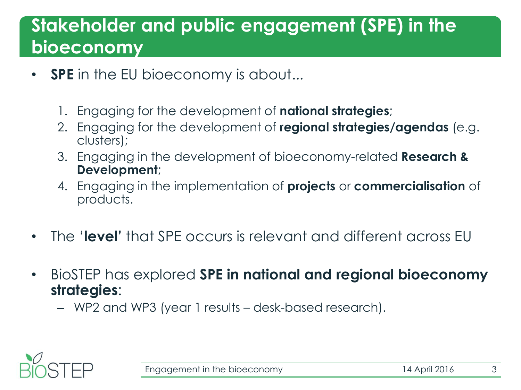### **Stakeholder and public engagement (SPE) in the bioeconomy**

- **SPE** in the EU bioeconomy is about...
	- 1. Engaging for the development of **national strategies**;
	- 2. Engaging for the development of **regional strategies/agendas** (e.g. clusters);
	- 3. Engaging in the development of bioeconomy-related **Research & Development**;
	- 4. Engaging in the implementation of **projects** or **commercialisation** of products.
- The '**level'** that SPE occurs is relevant and different across EU
- BioSTEP has explored **SPE in national and regional bioeconomy strategies**:
	- WP2 and WP3 (year 1 results desk-based research).

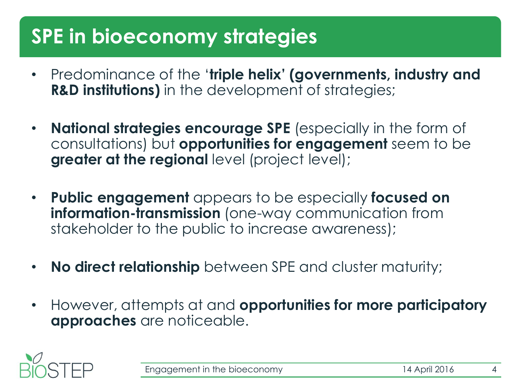## **SPE in bioeconomy strategies**

- Predominance of the '**triple helix' (governments, industry and R&D institutions)** in the development of strategies;
- **National strategies encourage SPE** (especially in the form of consultations) but **opportunities for engagement** seem to be **greater at the regional level (project level);**
- **Public engagement** appears to be especially **focused on information-transmission** (one-way communication from stakeholder to the public to increase awareness);
- **No direct relationship** between SPE and cluster maturity;
- However, attempts at and **opportunities for more participatory approaches** are noticeable.

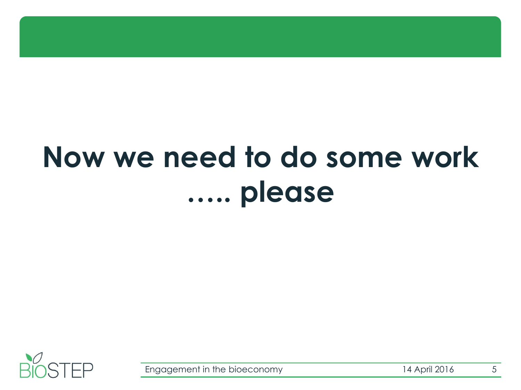# **Now we need to do some work ….. please**

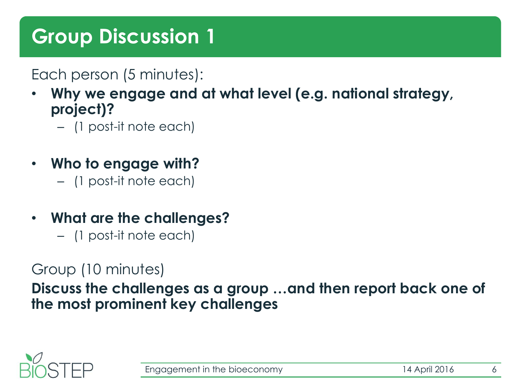## **Group Discussion 1**

Each person (5 minutes):

- **Why we engage and at what level (e.g. national strategy, project)?**
	- (1 post-it note each)
- **Who to engage with?** 
	- (1 post-it note each)
- **What are the challenges?** 
	- (1 post-it note each)

#### Group (10 minutes)

**Discuss the challenges as a group …and then report back one of the most prominent key challenges** 

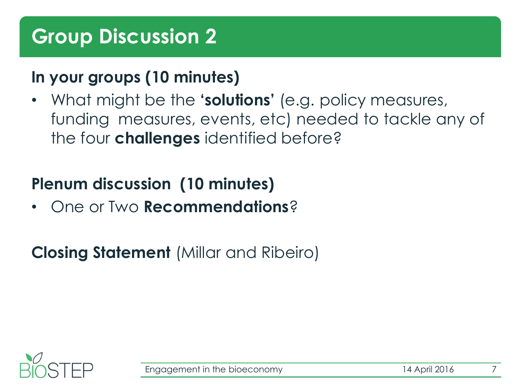#### **In your groups (10 minutes)**

• What might be the **'solutions'** (e.g. policy measures, funding measures, events, etc) needed to tackle any of the four **challenges** identified before?

#### **Plenum discussion (10 minutes)**

• One or Two **Recommendations**?

#### **Closing Statement** (Millar and Ribeiro)